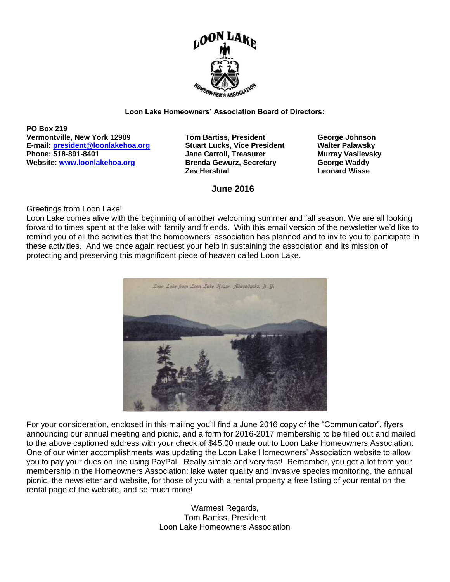

#### **Loon Lake Homeowners' Association Board of Directors:**

**PO Box 219 Vermontville, New York 12989 Tom Bartiss, President George Johnson E-mail: [president@loonlakehoa.org](mailto:president@loonlakehoa.org) Stuart Lucks, Vice President Walter Palawsky Website:** [www.loonlakehoa.org](http://www.loonlakehoa.org/) **Brenda Gewurz, Secretary <b>George Waddy** 

**Phone: 518-891-8401 Jane Carroll, Treasurer Murray Vasilevsky Zev Hershtal Leonard Wisse** 

**June 2016**

#### Greetings from Loon Lake!

Loon Lake comes alive with the beginning of another welcoming summer and fall season. We are all looking forward to times spent at the lake with family and friends. With this email version of the newsletter we'd like to remind you of all the activities that the homeowners' association has planned and to invite you to participate in these activities. And we once again request your help in sustaining the association and its mission of protecting and preserving this magnificent piece of heaven called Loon Lake.



For your consideration, enclosed in this mailing you'll find a June 2016 copy of the "Communicator", flyers announcing our annual meeting and picnic, and a form for 2016-2017 membership to be filled out and mailed to the above captioned address with your check of \$45.00 made out to Loon Lake Homeowners Association. One of our winter accomplishments was updating the Loon Lake Homeowners' Association website to allow you to pay your dues on line using PayPal. Really simple and very fast! Remember, you get a lot from your membership in the Homeowners Association: lake water quality and invasive species monitoring, the annual picnic, the newsletter and website, for those of you with a rental property a free listing of your rental on the rental page of the website, and so much more!

> Warmest Regards, Tom Bartiss, President Loon Lake Homeowners Association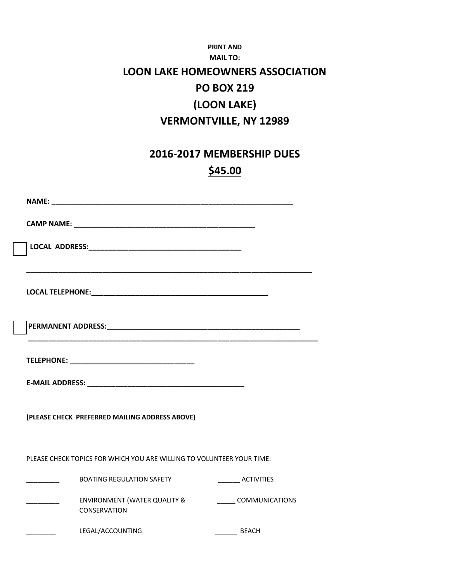#### **PRINT AND MAIL TO: LOON LAKE HOMEOWNERS ASSOCIATION PO BOX 219 (LOON LAKE) VERMONTVILLE, NY 12989**

#### **2016-2017 MEMBERSHIP DUES \$45.00**

| (PLEASE CHECK PREFERRED MAILING ADDRESS ABOVE)                        |                       |
|-----------------------------------------------------------------------|-----------------------|
| PLEASE CHECK TOPICS FOR WHICH YOU ARE WILLING TO VOLUNTEER YOUR TIME: |                       |
| <b>BOATING REGULATION SAFETY</b>                                      | __________ ACTIVITIES |
| ENVIRONMENT (WATER QUALITY &<br><b>CONSERVATION</b>                   | <b>COMMUNICATIONS</b> |
| LEGAL/ACCOUNTING                                                      | BEACH                 |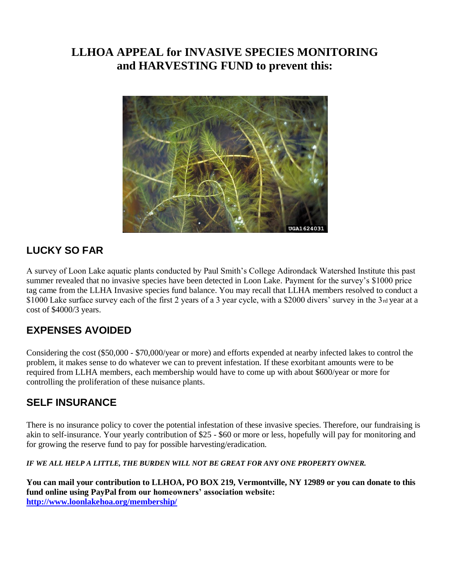#### **LLHOA APPEAL for INVASIVE SPECIES MONITORING and HARVESTING FUND to prevent this:**



#### **LUCKY SO FAR**

A survey of Loon Lake aquatic plants conducted by Paul Smith's College Adirondack Watershed Institute this past summer revealed that no invasive species have been detected in Loon Lake. Payment for the survey's \$1000 price tag came from the LLHA Invasive species fund balance. You may recall that LLHA members resolved to conduct a \$1000 Lake surface survey each of the first 2 years of a 3 year cycle, with a \$2000 divers' survey in the 3rd year at a cost of \$4000/3 years.

#### **EXPENSES AVOIDED**

Considering the cost (\$50,000 - \$70,000/year or more) and efforts expended at nearby infected lakes to control the problem, it makes sense to do whatever we can to prevent infestation. If these exorbitant amounts were to be required from LLHA members, each membership would have to come up with about \$600/year or more for controlling the proliferation of these nuisance plants.

#### **SELF INSURANCE**

There is no insurance policy to cover the potential infestation of these invasive species. Therefore, our fundraising is akin to self-insurance. Your yearly contribution of \$25 - \$60 or more or less, hopefully will pay for monitoring and for growing the reserve fund to pay for possible harvesting/eradication.

IF WE ALL HELP A LITTLE, THE BURDEN WILL NOT BE GREAT FOR ANY ONE PROPERTY OWNER.

**You can mail your contribution to LLHOA, PO BOX 219, Vermontville, NY 12989 or you can donate to this fund online using PayPal from our homeowners' association website: <http://www.loonlakehoa.org/membership/>**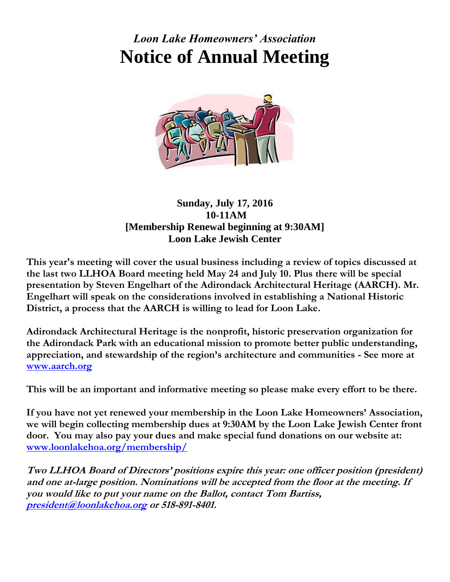# *Loon Lake Homeowners' Association* **Notice of Annual Meeting**



#### **Sunday, July 17, 2016 10-11AM [Membership Renewal beginning at 9:30AM] Loon Lake Jewish Center**

**This year's meeting will cover the usual business including a review of topics discussed at the last two LLHOA Board meeting held May 24 and July 10. Plus there will be special presentation by Steven Engelhart of the Adirondack Architectural Heritage (AARCH). Mr. Engelhart will speak on the considerations involved in establishing a National Historic District, a process that the AARCH is willing to lead for Loon Lake.**

**Adirondack Architectural Heritage is the nonprofit, historic preservation organization for the Adirondack Park with an educational mission to promote better public understanding, appreciation, and stewardship of the region's architecture and communities - See more at [www.aarch.org](http://www.aarch.org/)**

**This will be an important and informative meeting so please make every effort to be there.** 

**If you have not yet renewed your membership in the Loon Lake Homeowners' Association, we will begin collecting membership dues at 9:30AM by the Loon Lake Jewish Center front door. You may also pay your dues and make special fund donations on our website at: [www.loonlakehoa.org/membership/](http://www.loonlakehoa.org/membership/)**

**Two LLHOA Board of Directors' positions expire this year: one officer position (president) and one at-large position. Nominations will be accepted from the floor at the meeting. If you would like to put your name on the Ballot, contact Tom Bartiss, [president@loonlakehoa.org](mailto:president@loonlakehoa.org) or 518-891-8401.**